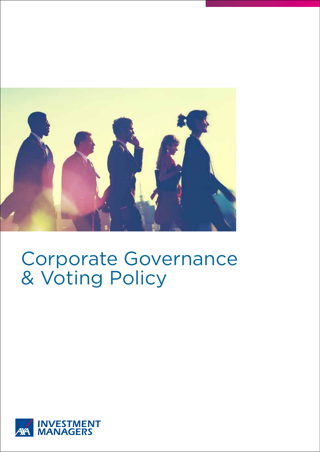

# Corporate Governance & Voting Policy

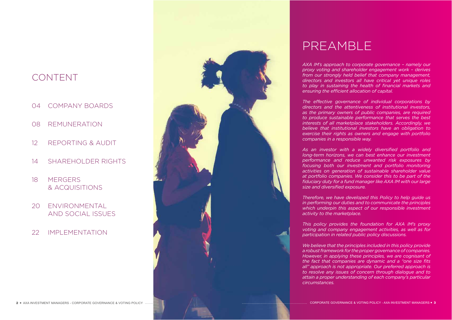*AXA IM's approach to corporate governance – namely our proxy voting and shareholder engagement work – derives from our strongly held belief that company management, directors and investors all have critical yet unique roles to play in sustaining the health of financial markets and ensuring the efficient allocation of capital.*

*The effective governance of individual corporations by directors and the attentiveness of institutional investors, as the primary owners of public companies, are required to produce sustainable performance that serves the best interests of all marketplace stakeholders. Accordingly, we believe that institutional investors have an obligation to exercise their rights as owners and engage with portfolio companies in a responsible way.*

*As an investor with a widely diversified portfolio and long-term horizons, we can best enhance our investment performance and reduce unwanted risk exposures by focusing both our investment and portfolio monitoring activities on generation of sustainable shareholder value at portfolio companies. We consider this to be part of the fiduciary duty for a fund manager like AXA IM with our large size and diversified exposure.*

*Therefore, we have developed this Policy to help guide us in performing our duties and to communicate the principles which underpin this aspect of our responsible investment activity to the marketplace.*

*This policy provides the foundation for AXA IM's proxy voting and company engagement activities, as well as for participation in related public policy discussions.*

*We believe that the principles included in this policy provide a robust framework for the proper governance of companies. However, in applying these principles, we are cognisant of the fact that companies are dynamic and a "one size fits all" approach is not appropriate. Our preferred approach is to resolve any issues of concern through dialogue and to attain a proper understanding of each company's particular circumstances.* 

## PREAMBLE

## CONTENT

- 04 COMPANY BOARDS
- 08 REMUNERATION
- 12 REPORTING & AUDIT
- 14 SHAREHOLDER RIGHTS
- 18 MERGERS & ACQUISITIONS
- 20 ENVIRONMENTAL AND SOCIAL ISSUES
- 22 IMPLEMENTATION

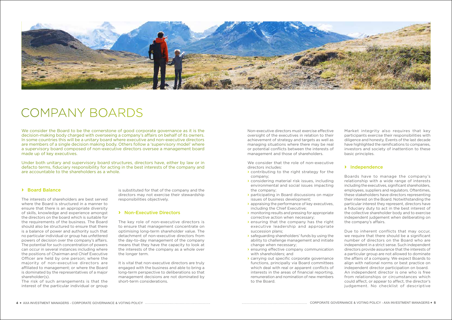We consider the Board to be the cornerstone of good corporate governance as it is the decision-making body charged with overseeing a company's affairs on behalf of its owners. In some countries this will be a unitary board where executive and non-executive directors are members of a single decision making body. Others follow a 'supervisory model' where a supervisory board composed of non-executive directors oversee a management board made up of key executives.

Under both unitary and supervisory board structures, directors have, either by law or in defacto terms, fiduciary responsibility for acting in the best interests of the company and are accountable to the shareholders as a whole.



## COMPANY BOARDS

### **›** Board Balance

The interests of shareholders are best served where the Board is structured in a manner to ensure that there is an appropriate diversity of skills, knowledge and experience amongst the directors on the board which is suitable for the requirements of the business. The Board should also be structured to ensure that there is a balance of power and authority such that no particular individual or group has unfettered powers of decision over the company's affairs. The potential for such concentration of powers can occur in several instances including where the positions of Chairman and Chief Executive Officer are held by one person; where the majority of non-executive directors are affiliated to management; or where the Board is dominated by the representatives of a major shareholder(s).

The risk of such arrangements is that the interest of the particular individual or group

is substituted for that of the company and the directors may not exercise their stewardship responsibilities objectively.

#### **›** Non-Executive Directors

The key role of non-executive directors is to ensure that management concentrate on optimising long-term shareholder value. The detachment of non-executive directors from the day-to-day management of the company means that they have the capacity to look at the interests of the company as a whole over the longer term.

It is vital that non-executive directors are truly engaged with the business and able to bring a long-term perspective to deliberations so that management decisions are not dominated by short-term considerations.

Non-executive directors must exercise effective oversight of the executives in relation to their achievement of strategy and targets as well as managing situations where there may be real or potential conflicts between the interests of management and those of shareholders.

We consider that the role of non-executive directors includes:

- › contributing to the right strategy for the company;
- › considering material risk issues, including environmental and social issues impacting the company;
- › participating in Board discussions on major issues of business development;
- › appraising the performance of key executives, including the Chief Executive;
- › monitoring results and pressing for appropriate corrective action when necessary;
- › ensuring that the company has the right executive leadership and appropriate succession plans;
- › safeguarding shareholders' funds by using the ability to challenge management and initiate change when necessary;
- › ensuring effective company communication with shareholders; and
- › carrying out specific corporate governance functions, principally via Board committees which deal with real or apparent conflicts of interests in the areas of financial reporting, remuneration and nomination of new members to the Board.

Market integrity also requires that key participants exercise their responsibilities with diligence and honesty. Events of the last decade have highlighted the ramifications to companies, investors and society of inattention to these basic principles.

### **›** Independence

Boards have to manage the company's relationship with a wide range of interests including the executives, significant shareholders, employees, suppliers and regulators. Oftentimes, these stakeholders have directors representing their interest on the Board. Notwithstanding the particular interest they represent, directors have a fiduciary duty to act in the best interest of the collective shareholder body and to exercise independent judgement when deliberating on the company's affairs.

Due to inherent conflicts that may occur, we require that there should be a significant number of directors on the Board who are independent in a strict sense. Such independent directors provide assurance that the interests of a particular group are not allowed to dominate the affairs of a company. We expect Boards to align with national norms or best practice on independent director participation on board. An independent director is one who is free from relationships or circumstances which

could affect, or appear to affect, the director's judgement. No checklist of descriptive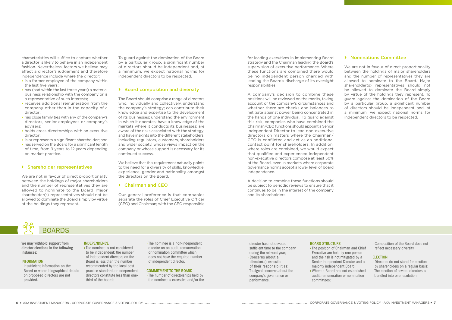characteristics will suffice to capture whether a director is likely to behave in an independent fashion. Nevertheless, factors we believe may affect a director's judgement and therefore independence include where the director:

- $\rightarrow$  is a former employee of the company within the last five years;
- › has (had within the last three years) a material business relationship with the company or is a representative of such interests;
- › receives additional remuneration from the company other than in the capacity of a director;
- › has close family ties with any of the company's directors, senior employees or company's advisers;
- › holds cross directorships with an executive director;
- **>** is or represents a significant shareholder: and
- › has served on the Board for a significant length of time, from 9 years to 12 years depending on market practice.

#### **›** Shareholder representatives

We are not in favour of direct proportionality between the holdings of major shareholders and the number of representatives they are allowed to nominate to the Board. Major shareholder(s) representatives should not be allowed to dominate the Board simply by virtue of the holdings they represent.

To guard against the domination of the Board by a particular group, a significant number of directors should be independent and, at a minimum, we expect national norms for independent directors to be respected.

#### **›** Board composition and diversity

The Board should comprise a range of directors who, individually and collectively, understand the company's strategy; can contribute their knowledge and expertise to the development of its businesses; understand the environment in which it operates; have a knowledge of the markets where it conducts its businesses; are aware of the risks associated with the strategy; and have insights into the different stakeholders, including regulators, customers, shareholders and wider society, whose views impact on the company or whose support is necessary for its continued success.

We believe that this requirement naturally points to the need for a diversity of skills, knowledge, experience, gender and nationality amongst the directors on the Board.

#### **›** Chairman and CEO

Our general preference is that companies separate the roles of Chief Executive Officer (CEO) and Chairman; with the CEO responsible

We are not in favour of direct proportionality between the holdings of major shareholders and the number of representatives they are allowed to nominate to the Board. Major shareholder(s) representatives should not be allowed to dominate the Board simply by virtue of the holdings they represent. To guard against the domination of the Board by a particular group, a significant number of directors should be independent and, at a minimum, we expect national norms for independent directors to be respected.

for leading executives in implementing Board strategy and the Chairman leading the Board's supervision of executive performance. Where these functions are combined there would be no independent person charged with leading the Board's discharge of its oversight responsibilities.

A company's decision to combine these positions will be reviewed on the merits, taking account of the company's circumstances and whether there are checks and balances to mitigate against power being concentrated in the hands of one individual. To guard against this risk, companies who have combined the Chairman/CEO functions should appoint a Senior Independent Director to lead non-executive directors on matters where the Chairman/ CEO is conflicted and act as an additional contact point for shareholders. In addition, where roles are combined, we would expect that qualified and experienced independent non-executive directors compose at least 50% of the Board, even in markets where corporate governance norms accept a lower level of board independence.

A decision to combine these functions should be subject to periodic reviews to ensure that it continues to be in the interest of the company and its shareholders.

We may withhold support from director elections in the following instances:

#### INFORMATION

› Insufficient information on the Board or where biographical details on proposed directors are not provided.

#### INDEPENDENCE

› The nominee is not considered to be independent; the number of independent directors on the Board is less than the number recommended by the local best practice standard, or independent directors constitute less than onethird of the board;

› The nominee is a non-independent director on an audit, remuneration or nomination committee which does not have the required number of independent director.

#### COMMITMENT TO THE BOARD

› The number of directorships held by the nominee is excessive and/or the

### **›** Nominations Committee



director has not devoted sufficient time to the company during the relevant year;

- › Concerns about a director(s) execution of their responsibilities;
- › To signal concerns about the company's governance or performance.

#### BOARD STRUCTURE

› The position of Chairman and Chief Executive are held by one person and the risk is not mitigated by a Senior Independent Director and a › Where a Board has not established

- majority independent Board;
	- audit, remuneration or nomination committees;

› Composition of the Board does not reflect necessary diversity.

#### **ELECTION**

- › Directors do not stand for election by shareholders on a regular basis;
- › The election of several directors is bundled into one resolution.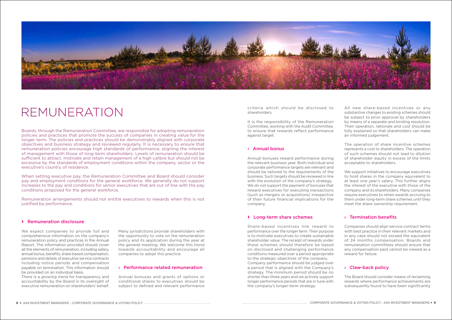#### **›** Remuneration disclosure

We expect companies to provide full and comprehensive information on the company's remuneration policy and practices in the Annual Report. The information provided should cover all the elements of remuneration, including salary, annual bonus, benefits, share-based compensation, pensions and details of executive service contracts including notice periods and compensation payable on termination. This information should be provided on an individual basis.

There is a growing trend for transparency and accountability by the Board in its oversight of executive remuneration on shareholders' behalf.



## REMUNERATION

Many jurisdictions provide shareholders with the opportunity to vote on the remuneration policy and its application during the year at the general meeting. We welcome this trend towards accountability and encourage all companies to adopt this practice.

#### › Performance related remuneration

Annual bonuses and grants of options or conditional shares to executives should be subject to defined and relevant performance

Boards, through the Remuneration Committee, are responsible for adopting remuneration policies and practices that promote the success of companies in creating value for the longer term. The policies and practices should be demonstrably aligned with corporate objectives and business strategy and reviewed regularly. It is necessary to ensure that remuneration policies encourage high standards of performance, aligning the interest of management with those of long-term shareholders. Levels of remuneration should be sufficient to attract, motivate and retain management of a high calibre but should not be excessive by the standards of employment conditions within the company, sector or the executive's country of residence.

When setting executive pay, the Remuneration Committee and Board should consider pay and employment conditions for the general workforce. We generally do not support increases to the pay and conditions for senior executives that are out of line with the pay conditions proposed for the general workforce.

Remuneration arrangements should not entitle executives to rewards when this is not justified by performance.

criteria which should be disclosed to shareholders.

> The Board should consider means of reclaiming rewards where performance achievements are subsequently found to have been significantly

It is the responsibility of the Remuneration Committee, working with the Audit Committee, to ensure that rewards reflect performance against target.

#### › Annual bonus

Annual bonuses reward performance during the relevant business year. Both individual and corporate performance targets are relevant and should be tailored to the requirements of the business. Such targets should be reviewed in line with the evolution of the company's strategy. We do not support the payment of bonuses that reward executives for executing transactions (such as mergers or acquisitions) irrespective of their future financial implications for the company.

#### **›** Long-term share schemes

Share-based incentives link reward to performance over the longer term. Their purpose is to motivate executives to create sustainable shareholder value. The receipt of rewards under these schemes should therefore be based on disclosed and challenging performance conditions measured over a period appropriate to the strategic objectives of the company. Company performance should be judged over a period that is aligned with the Company's strategy. The minimum period should be no shorter than three years and we actively support longer performance periods that are in tune with the company's longer-term strategy.

All new share-based incentives or any substantive changes to existing schemes should be subject to prior approval by shareholders by means of a separate and binding resolution. Their operation, rationale and cost should be fully explained so that shareholders can make an informed judgement.

The operation of share incentive schemes represents a cost to shareholders. The operation of such schemes should not lead to dilution of shareholder equity in excess of the limits acceptable to shareholders.

We support initiatives to encourage executives to hold shares in the company equivalent to at least one year's salary. This further aligns the interest of the executive with those of the company and its shareholders. Many companies require executives to retain awards accruing to them under long-term share schemes until they meet the share ownership requirement.

### › Termination benefits

Companies should align service contract terms with best practice in their relevant markets and in any case should not exceed the equivalent of 24 months compensation. Boards and remuneration committees should ensure that any compensation paid cannot be viewed as a reward for failure.

### › Claw-back policy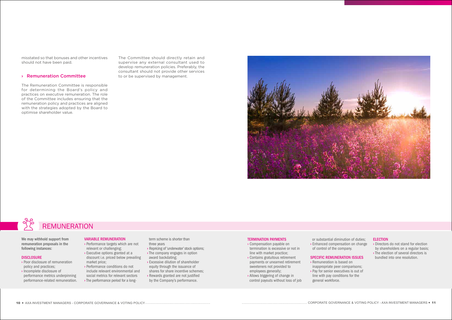#### **ELECTION**



The Committee should directly retain and supervise any external consultant used to develop remuneration policies. Preferably, the consultant should not provide other services to or be supervised by management.



misstated so that bonuses and other incentives should not have been paid.

#### › Remuneration Committee

The Remuneration Committee is responsible for determining the Board's policy and practices on executive remuneration. The role of the Committee includes ensuring that the remuneration policy and practices are aligned with the strategies adopted by the Board to optimise shareholder value.

We may withhold support from remuneration proposals in the following instances:

#### DISCLOSURE

- › Poor disclosure of remuneration policy and practices;
- › Incomplete disclosure of performance metrics underpinning performance-related remuneration.

#### VARIABLE REMUNERATION

- › Performance targets which are not relevant or challenging;
- › Executive options granted at a discount i.e. priced below prevailing market price;
- › Performance conditions do not include relevant environmental and social metrics for relevant sectors › The performance period for a long-

term scheme is shorter than three years

- › Repricing of 'underwater' stock options;
- › The company engages in option award backdating;
- › Excessive dilution of shareholder equity through the issuance of
- shares for share incentive schemes; › Rewards granted are not justified
- by the Company's performance.

#### TERMINATION PAYMENTS

- › Compensation payable on termination is excessive or not in line with market practice;
- › Contains gratuitous retirement payments or unearned retirement sweeteners not provided to employees generally;
- › Allows triggering of change in control payouts without loss of job
- or substantial diminution of duties;
- › Enhanced compensation on change of control of the company.
- SPECIFIC REMUNERATION ISSUES
- › Remuneration is based on inappropriate peer comparisons; › Pay for senior executives is out of
	- line with pay conditions for the general workforce.
- › Directors do not stand for election by shareholders on a regular basis;
- › The election of several directors is bundled into one resolution.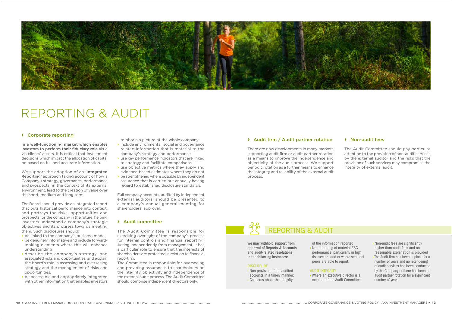

#### **›** Corporate reporting

In a well-functioning market which enables investors to perform their fiduciary role vis a vis clients' assets, it is critical that investment decisions which impact the allocation of capital be based on full and accurate information.

We support the adoption of an 'Integrated Reporting' approach taking account of how a Company's strategy, governance, performance and prospects, in the context of its external environment, lead to the creation of value over the short, medium and long term.

- be linked to the company's business model
- › be genuinely informative and include forwardlooking elements where this will enhance understanding
- › describe the company's strategy, and associated risks and opportunities, and explain the board's role in assessing and overseeing strategy and the management of risks and opportunities.
- › be accessible and appropriately integrated with other information that enables investors

The Board should provide an integrated report that puts historical performance into context, and portrays the risks, opportunities and prospects for the company in the future, helping investors understand a company's strategic objectives and its progress towards meeting them. Such disclosures should:



## REPORTING & AUDIT

to obtain a picture of the whole company

- › include environmental, social and governance related information that is material to the company's strategy and performance
- › use key performance indicators that are linked to strategy and facilitate comparisons
- › use objective metrics where they apply and evidence-based estimates where they do not
- b be strengthened where possible by independent assurance that is carried out annually having regard to established disclosure standards.

Full company accounts, audited by independent external auditors, should be presented to a company's annual general meeting for shareholders' approval.

#### **›** Audit committee

The Audit Committee is responsible for exercising oversight of the company's process for internal controls and financial reporting. Acting independently from management, it has a particular role to ensure that the interests of shareholders are protected in relation to financial reporting.

The Committee is responsible for overseeing and providing assurances to shareholders on the integrity, objectivity and independence of the external audit process. The Audit Committee should comprise independent directors only.

### **›** Audit firm / Audit partner rotation

There are now developments in many markets supporting audit firm or audit partner rotation as a means to improve the independence and objectivity of the audit process. We support periodic rotation as a further means to enhance the integrity and reliability of the external audit process.

### **›** Non-audit fees

The Audit Committee should pay particular attention to the provision of non-audit services by the external auditor and the risks that the provision of such services may compromise the integrity of external audit.

We may withhold support from approval of Reports & Accounts and audit-related resolutions in the following instances:

#### **DISCLOSURE**

- › Non provision of the audited accounts in a timely manner:
- › Concerns about the integrity

of the information reported › Non-reporting of material ESG performance, particularly in high risk sectors and or where sectorial peers are able to report;

#### AUDIT INTEGRITY

› Where an executive director is a member of the Audit Committee

- › Non-audit fees are significantly higher than audit fees and no reasonable explanation is provided
- › The Audit firm has been in place for a number of years and no retendering of audit services has been conducted by the Company or there has been no audit partner rotation for a significant number of years.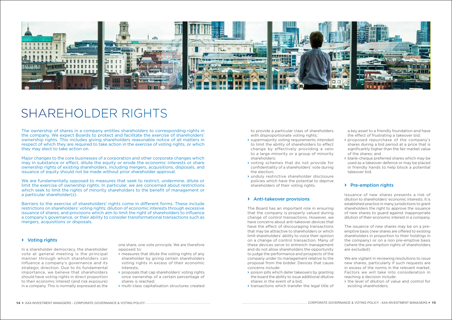#### **›** Voting rights

In a shareholder democracy, the shareholder vote at general meeting is the principal manner through which shareholders can influence a company's governance and its strategic direction. Due to its fundamental importance, we believe that shareholders should have voting rights in direct proportion to their economic interest (and risk exposure) in a company. This is normally expressed as the



## SHAREHOLDER RIGHTS

one share, one vote principle. We are therefore opposed to:

- › measures that dilute the voting rights of any shareholder by giving certain shareholders voting rights in excess of their economic interests;
- › proposals that cap shareholders' voting rights once ownership of a certain percentage of shares is reached;
- › multi-class capitalisation structures created

The ownership of shares in a company entitles shareholders to corresponding rights in the company. We expect Boards to protect and facilitate the exercise of shareholders' ownership rights. This includes giving shareholders reasonable notice of all matters in respect of which they are required to take action in the exercise of voting rights, or which they may elect to take action on.

Major changes to the core businesses of a corporation and other corporate changes which may in substance or effect, dilute the equity or erode the economic interests or share ownership rights of existing shareholders, including mergers, acquisitions, disposals, and issuance of equity should not be made without prior shareholder approval.

We are fundamentally opposed to measures that seek to restrict, undermine, dilute or limit the exercise of ownership rights. In particular, we are concerned about restrictions which seek to limit the rights of minority shareholders to the benefit of management or a particular shareholder(s).

Barriers to the exercise of shareholders' rights come in different forms. These include restrictions on shareholders' voting rights; dilution of economic interests through excessive issuance of shares; and provisions which aim to limit the right of shareholders to influence a company's governance, or their ability to consider transformational transactions such as mergers, acquisitions or disposals.

to provide a particular class of shareholders with disproportionate voting rights;

- › supermajority voting requirements intended to limit the ability of shareholders to effect change by effectively providing a veto to a large minority or a group of minority shareholders;
- › voting schemes that do not provide for confidentiality of a shareholders' vote during the election;
- › unduly restrictive shareholder disclosure policies which have the potential to deprive shareholders of their voting rights.

#### **›** Anti-takeover provisions

The Board has an important role in ensuring that the company is properly valued during change of control transactions. However, we have concerns about anti-takeover devices that have the effect of discouraging transactions that may be attractive to shareholders or which limit shareholders' ability to voice their opinion on a change of control transaction. Many of these devices serve to entrench management and do not allow shareholders the opportunity to judge the performance and prospects of the company under its management relative to the proposal from the bidder. Devices that cause concerns include:

- › poison pills which deter takeovers by granting the board the ability to issue additional dilutive shares in the event of a bid;
- › transactions which transfer the legal title of

a key asset to a friendly foundation and have the effect of frustrating a takeover bid;

- › proposed repurchase of the company's shares during a bid period at a price that is significantly higher than the fair market value of the shares; and
- blank-cheque preferred shares which may be used as a takeover defence or may be placed in friendly hands to help block a potential takeover bid.

### **›** Pre-emption rights

Issuance of new shares presents a risk of dilution to shareholders' economic interests. It is established practice in many jurisdictions to grant shareholders the right to approve the issuance of new shares to guard against inappropriate dilution of their economic interest in a company.

The issuance of new shares may be on a preemptive basis (new shares are offered to existing shareholders in proportion to their holdings in the company) or on a non pre-emptive basis (where the pre-emption rights of shareholders are excluded).

We are vigilant in reviewing resolutions to issue new shares, particularly if such requests are in excess of the norms in the relevant market. Factors we will take into consideration in reaching a decision include:

› the level of dilution of value and control for existing shareholders;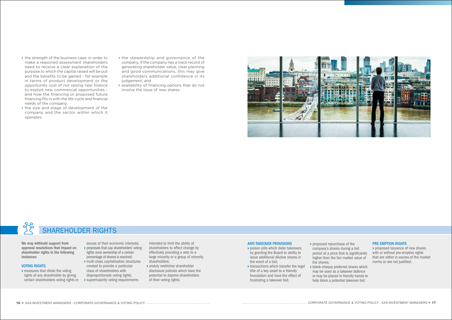## $\frac{1}{2}$ SHAREHOLDER RIGHTS

- If the strength of the business case: in order to make a reasoned assessment shareholders need to receive a clear explanation of the purpose to which the capital raised will be put and the benefits to be gained - for example in terms of product development or the opportunity cost of not raising new finance to exploit new commercial opportunities and how the financing or proposed future financing fits in with the life-cycle and financial needs of the company;
- › the size and stage of development of the company and the sector within which it operates;
- › the stewardship and governance of the company. If the company has a track record of generating shareholder value, clear planning and good communications, this may give shareholders additional confidence in its judgement; and
- › availability of financing options that do not involve the issue of new shares.



We may withhold support from approval resolutions that impact on shareholder rights in the following instances:

#### VOTING RIGHTS

- › measures that dilute the voting rights of any shareholder by giving certain shareholders voting rights in > supermajority voting requirements
- excess of their economic interests; › proposals that cap shareholders' voting rights once ownership of a certain percentage of shares is reached; › multi-class capitalisation structures
	- created to provide a particular class of shareholders with disproportionate voting rights;
	-

intended to limit the ability of shareholders to effect change by effectively providing a veto to a large minority or a group of minority shareholders;

› unduly restrictive shareholder disclosure policies which have the potential to deprive shareholders of their voting rights;

#### ANTI-TAKEOVER PROVISIONS

- › poison pills which deter takeovers by granting the Board to ability to issue additional dilutive shares in the event of a bid;
- › transactions which transfer the legal title of a key asset to a friendly foundation and have the effect of frustrating a takeover bid;
- › proposed repurchase of the company's shares during a bid period at a price that is significantly higher than the fair market value of the shares;
- blank-cheque preferred shares which may be used as a takeover defence or may be placed in friendly hands to help block a potential takeover bid;

#### PRE-EMPTION RIGHTS

› proposed issuance of new shares with or without pre-emptive rights that are either in excess of the market norms or are not justified.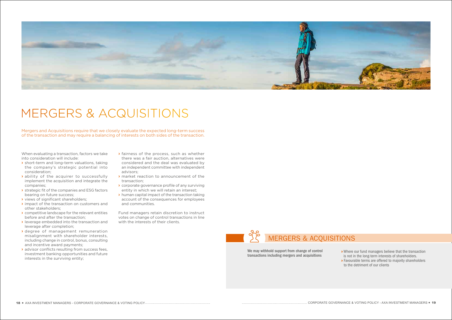18 AXA INVESTMENT MANAGERS - CORPORATE GOVERNANCE & VOTING POLICY CORPORATE GOVERNANCE & VOTING POLICY - AXA INVESTMENT MANAGERS 19

When evaluating a transaction, factors we take into consideration will include:

- › short-term and long-term valuations, taking the company's strategic potential into consideration;
- › ability of the acquirer to successfully implement the acquisition and integrate the companies;
- **>** strategic fit of the companies and ESG factors bearing on future success;
- › views of significant shareholders;
- › impact of the transaction on customers and other stakeholders;
- › competitive landscape for the relevant entities before and after the transaction;
- › leverage embedded into the transaction and leverage after completion;
- › degree of management remuneration misalignment with shareholder interests, including change in control, bonus, consulting and incentive award payments;
- › advisor conflicts resulting from success fees, investment banking opportunities and future interests in the surviving entity;

Fund managers retain discretion to instruct votes on change of control transactions in line with the interests of their clients.



# MERGERS & ACQUISITIONS

- › fairness of the process, such as whether there was a fair auction, alternatives were considered and the deal was evaluated by an independent committee with independent advisors;
- › market reaction to announcement of the transaction;
- › corporate governance profile of any surviving entity in which we will retain an interest;
- › human capital impact of the transaction taking account of the consequences for employees and communities.

Mergers and Acquisitions require that we closely evaluate the expected long-term success of the transaction and may require a balancing of interests on both sides of the transaction.



We may withhold support from change of control transactions including mergers and acquisitions

- › Where our fund managers believe that the transaction is not in the long-term interests of shareholders.
- › Favourable terms are offered to majority shareholders to the detriment of our clients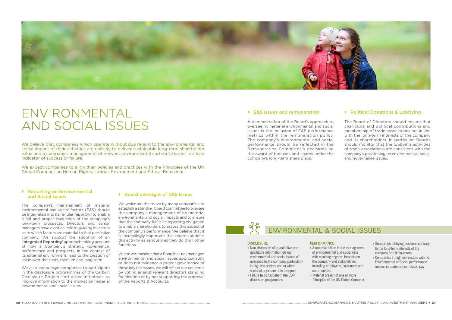## ENVIRONMENTAL & SOCIAL ISSUES

#### **DISCLOSURE**

#### **›** Reporting on Environmental and Social issues

The company's management of material environmental and social factors (E&S) should be integrated into its regular reporting to enable a full and proper evaluation of the company's long-term prospects. Directors and senior managers have a critical role in guiding investors as to which factors are material to that particular company. We support the adoption of an 'Integrated Reporting' approach taking account of how a Company's strategy, governance, performance and prospects, in the context of its external environment, lead to the creation of value over the short, medium and long term.

We also encourage companies to participate in the disclosure programmes of the Carbon Disclosure Project and other initiatives to improve information to the market on material environmental and social issues.



## ENVIRONMENTAL AND SOCIAL ISSUES

We believe that, companies which operate without due regard to the environmental and social impact of their activities are unlikely to deliver sustainable long-term shareholder value and a company's management of relevant environmental and social issues is a lead indicator of success or failure.

#### **›** Board oversight of E&S issues

We welcome the move by many companies to establish a standing board committee to oversee the company's management of its material environmental and social impacts and to ensure that the company fulfils its reporting obligation to enable shareholders to assess this aspect of the company's performance. We believe that it is increasingly important that boards address this activity as seriously as they do their other functions.

Where we consider that a Board has not managed environmental and social issues appropriately or does not evidence a proper governance of these key risk issues, we will reflect our concerns by voting against relevant directors standing for election or by not supporting the approval of the Reports & Accounts.

We expect companies to align their policies and practices with the Principles of the UN Global Compact on Human Rights, Labour, Environment and Ethical Behaviour.

#### **›** E&S issues and remuneration

A demonstration of the Board's approach to overseeing material environmental and social issues is the inclusion of E&S performance metrics within the remuneration policy. The company's environmental and social performance should be reflected in the Remuneration Committee's decisions on the award of bonuses and shares under the company's long-term share plans.

### **›** Political Donations & Lobbying

The Board of Directors should ensure that charitable and political contributions and membership of trade associations are in line with the long-term interests of the company and its shareholders. In particular, Boards should monitor that the lobbying activities of trade associations are consistent with the company's positioning on environmental, social and governance issues.

- › Non-disclosure of quantitative and qualitative information on key environmental and social issues of relevance to the company, particularly in high risk sectors and or where sectorial peers are able to report
- › Failure to participate in the CDP disclosure programmes

## **PERFORMANCE**

› A material failure in the management of environmental and social risks

- with resulting negative impacts on the company and stakeholders including employees, customers and communities › Material breach of one or more
- Principles of the UN Global Compact
- 
- › Support for lobbying positions contrary to the long-term interests of the company and its investors
- › Companies in high risk sectors with no Environmental or Social performance metrics in performance-related pay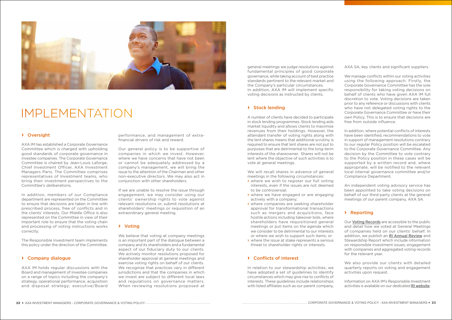#### **›** Oversight

AXA IM has established a Corporate Governance Committee which is charged with upholding good standards of corporate governance in investee companies. The Corporate Governance Committee is chaired by Jean-Louis Laforge, Chief Investment Officer, AXA Investment Managers Paris. The Committee comprises representatives of Investment teams, who bring their investment perspectives to the Committee's deliberations.

In addition, members of our Compliance department are represented on the Committee to ensure that decisions are taken in line with prescribed process, free of conflicts and in the clients' interests. Our Middle Office is also represented on the Committee in view of their important role to ensure that the voting chain and processing of voting instructions works correctly.

The Responsible Investment team implements this policy under the direction of the Committee.

#### **›** Company dialogue

AXA IM holds regular discussions with the Board and management of investee companies on a range of topics including the company's strategy, operational performance, acquisition and disposal strategy; executive/Board We believe that voting at company meetings is an important part of the dialogue between a company and its shareholders and a fundamental aspect of our fiduciary duty to our clients. We actively monitor resolutions proposed for shareholder approval at general meetings and exercise voting rights on behalf of our clients. We recognise that practices vary in different jurisdictions and that the companies in which we invest are subject to different local laws and regulations on governance matters. When reviewing resolutions proposed at



## IMPLEMENTATION

performance, and management of extrafinancial drivers of risk and reward.

Our general policy is to be supportive of companies in which we invest. However, where we have concerns that have not been or cannot be adequately addressed by a company's management, we will bring the issue to the attention of the Chairman and other non-executive directors. We may also act in conjunction with other shareholders.

We will recall shares in advance of general meetings in the following circumstances:

If we are unable to resolve the issue through engagement, we may consider using our clients' ownership rights to vote against relevant resolutions or, submit resolutions at shareholders' meetings or requisition of an extraordinary general meeting.

#### **›** Voting

general meetings we judge resolutions against fundamental principles of good corporate governance, while taking account of best practice standards pertinent to the relevant market and the Company's particular circumstances. In addition, AXA IM will implement specific voting decisions as instructed by clients.

#### **›** Stock lending

A number of clients have decided to participate in stock lending programmes. Stock lending aids market liquidity and allows clients to maximise revenues from their holdings. However, the attendant transfer of voting rights along with the lent shares means that additional scrutiny is required to ensure that lent shares are not put to purposes that are detrimental to the long-term interests of the shareowner. Shares will not be lent where the objective of such activities is to vote at general meetings.

- › where we wish to register our full voting interests, even if the issues are not deemed to be controversial;
- › where we have engaged or are engaging actively with a company;
- › where companies are seeking shareholder approval for transformational transactions such as mergers and acquisitions, face hostile actions including takeover bids, where shareholders have requisitioned general meetings or put items on the agenda which we consider to be detrimental to our interests or where we wish to support such items; or
- › where the issue at stake represents a serious threat to shareholder rights or interests.

### **›** Conflicts of interest

In relation to our stewardship activities, we have adopted a set of guidelines to identify circumstances which may give rise to conflicts of interests. These guidelines include relationships with listed affiliates such as our parent company,

AXA SA, key clients and significant suppliers.

We manage conflicts within our voting activities using the following approach. Firstly, the Corporate Governance Committee has the sole responsibility for taking voting decisions on behalf of clients who have given AXA IM full discretion to vote. Voting decisions are taken prior to any reference or discussions with clients who have not delegated voting rights to the Corporate Governance Committee or have their own Policy. This is to ensure that decisions are free from outside influence.

In addition, where potential conflicts of interests have been identified, recommendations to vote in support of management resolutions contrary to our regular Policy position will be escalated to the Corporate Governance Committee. Any decision by the Committee to vote contrary to the Policy position in these cases will be supported by a written record and, where appropriate, will be notified to the relevant local internal governance committee and/or Compliance Department.

An independent voting advisory service has been appointed to take voting decisions on behalf of our third-party clients at the general meetings of our parent company, AXA SA.

### **›** Reporting

Our Voting Records are accessible to the public and detail how we voted at General Meetings of companies held on our clients' behalf. In addition, we publish an RI Annual Review and Stewardship Report which include information on responsible investment issues, engagement with companies and aggregated voting records for the relevant year.

We also provide our clients with detailed quarterly reports on voting and engagement activities upon request.

Information on AXA IM's Responsible Investment activities is available on our dedicated RI website.